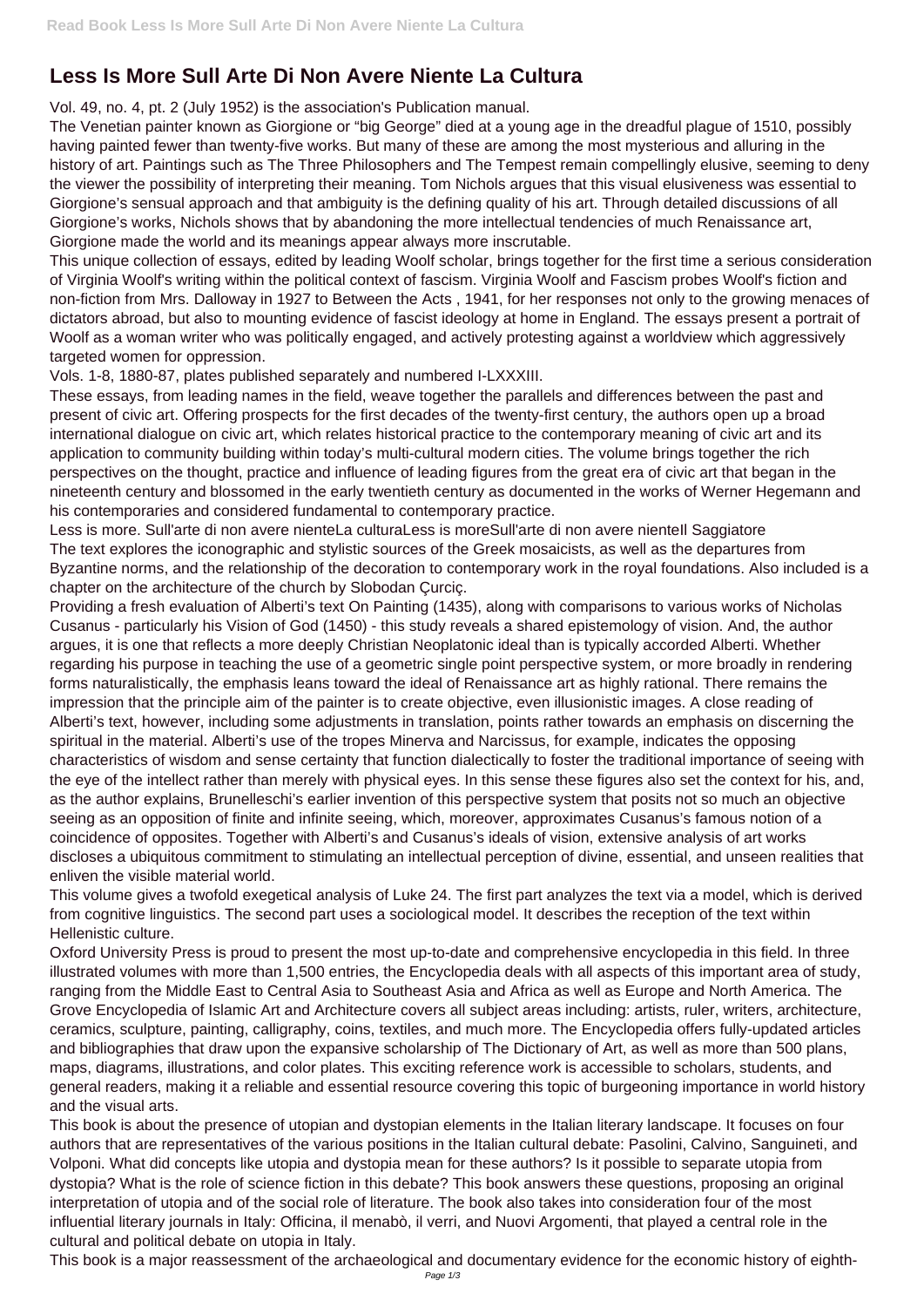## **Less Is More Sull Arte Di Non Avere Niente La Cultura**

Vol. 49, no. 4, pt. 2 (July 1952) is the association's Publication manual.

The Venetian painter known as Giorgione or "big George" died at a young age in the dreadful plague of 1510, possibly having painted fewer than twenty-five works. But many of these are among the most mysterious and alluring in the history of art. Paintings such as The Three Philosophers and The Tempest remain compellingly elusive, seeming to deny the viewer the possibility of interpreting their meaning. Tom Nichols argues that this visual elusiveness was essential to Giorgione's sensual approach and that ambiguity is the defining quality of his art. Through detailed discussions of all Giorgione's works, Nichols shows that by abandoning the more intellectual tendencies of much Renaissance art, Giorgione made the world and its meanings appear always more inscrutable.

This unique collection of essays, edited by leading Woolf scholar, brings together for the first time a serious consideration of Virginia Woolf's writing within the political context of fascism. Virginia Woolf and Fascism probes Woolf's fiction and non-fiction from Mrs. Dalloway in 1927 to Between the Acts , 1941, for her responses not only to the growing menaces of dictators abroad, but also to mounting evidence of fascist ideology at home in England. The essays present a portrait of Woolf as a woman writer who was politically engaged, and actively protesting against a worldview which aggressively targeted women for oppression.

Less is more. Sull'arte di non avere nienteLa culturaLess is moreSull'arte di non avere nienteIl Saggiatore The text explores the iconographic and stylistic sources of the Greek mosaicists, as well as the departures from Byzantine norms, and the relationship of the decoration to contemporary work in the royal foundations. Also included is a chapter on the architecture of the church by Slobodan Çurciç.

Vols. 1-8, 1880-87, plates published separately and numbered I-LXXXIII.

These essays, from leading names in the field, weave together the parallels and differences between the past and present of civic art. Offering prospects for the first decades of the twenty-first century, the authors open up a broad international dialogue on civic art, which relates historical practice to the contemporary meaning of civic art and its application to community building within today's multi-cultural modern cities. The volume brings together the rich perspectives on the thought, practice and influence of leading figures from the great era of civic art that began in the nineteenth century and blossomed in the early twentieth century as documented in the works of Werner Hegemann and his contemporaries and considered fundamental to contemporary practice.

Providing a fresh evaluation of Alberti's text On Painting (1435), along with comparisons to various works of Nicholas Cusanus - particularly his Vision of God (1450) - this study reveals a shared epistemology of vision. And, the author argues, it is one that reflects a more deeply Christian Neoplatonic ideal than is typically accorded Alberti. Whether regarding his purpose in teaching the use of a geometric single point perspective system, or more broadly in rendering forms naturalistically, the emphasis leans toward the ideal of Renaissance art as highly rational. There remains the impression that the principle aim of the painter is to create objective, even illusionistic images. A close reading of Alberti's text, however, including some adjustments in translation, points rather towards an emphasis on discerning the spiritual in the material. Alberti's use of the tropes Minerva and Narcissus, for example, indicates the opposing characteristics of wisdom and sense certainty that function dialectically to foster the traditional importance of seeing with the eye of the intellect rather than merely with physical eyes. In this sense these figures also set the context for his, and, as the author explains, Brunelleschi's earlier invention of this perspective system that posits not so much an objective seeing as an opposition of finite and infinite seeing, which, moreover, approximates Cusanus's famous notion of a coincidence of opposites. Together with Alberti's and Cusanus's ideals of vision, extensive analysis of art works discloses a ubiquitous commitment to stimulating an intellectual perception of divine, essential, and unseen realities that enliven the visible material world.

This volume gives a twofold exegetical analysis of Luke 24. The first part analyzes the text via a model, which is derived from cognitive linguistics. The second part uses a sociological model. It describes the reception of the text within Hellenistic culture.

Oxford University Press is proud to present the most up-to-date and comprehensive encyclopedia in this field. In three illustrated volumes with more than 1,500 entries, the Encyclopedia deals with all aspects of this important area of study, ranging from the Middle East to Central Asia to Southeast Asia and Africa as well as Europe and North America. The Grove Encyclopedia of Islamic Art and Architecture covers all subject areas including: artists, ruler, writers, architecture, ceramics, sculpture, painting, calligraphy, coins, textiles, and much more. The Encyclopedia offers fully-updated articles and bibliographies that draw upon the expansive scholarship of The Dictionary of Art, as well as more than 500 plans, maps, diagrams, illustrations, and color plates. This exciting reference work is accessible to scholars, students, and general readers, making it a reliable and essential resource covering this topic of burgeoning importance in world history and the visual arts. This book is about the presence of utopian and dystopian elements in the Italian literary landscape. It focuses on four authors that are representatives of the various positions in the Italian cultural debate: Pasolini, Calvino, Sanguineti, and Volponi. What did concepts like utopia and dystopia mean for these authors? Is it possible to separate utopia from dystopia? What is the role of science fiction in this debate? This book answers these questions, proposing an original interpretation of utopia and of the social role of literature. The book also takes into consideration four of the most influential literary journals in Italy: Officina, il menabò, il verri, and Nuovi Argomenti, that played a central role in the cultural and political debate on utopia in Italy. This book is a major reassessment of the archaeological and documentary evidence for the economic history of eighth-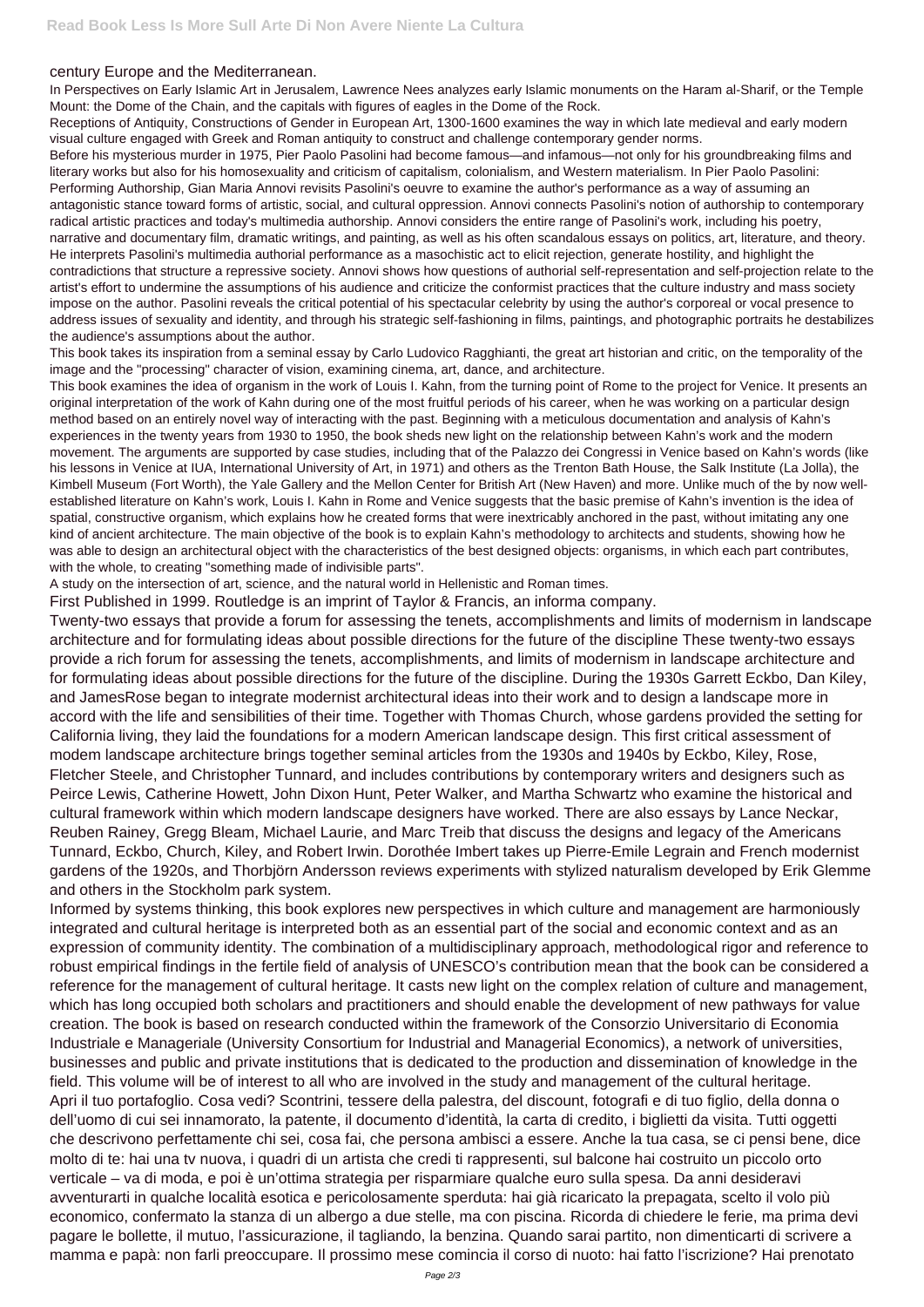## century Europe and the Mediterranean.

In Perspectives on Early Islamic Art in Jerusalem, Lawrence Nees analyzes early Islamic monuments on the Haram al-Sharif, or the Temple Mount: the Dome of the Chain, and the capitals with figures of eagles in the Dome of the Rock.

Receptions of Antiquity, Constructions of Gender in European Art, 1300-1600 examines the way in which late medieval and early modern visual culture engaged with Greek and Roman antiquity to construct and challenge contemporary gender norms.

Before his mysterious murder in 1975, Pier Paolo Pasolini had become famous—and infamous—not only for his groundbreaking films and literary works but also for his homosexuality and criticism of capitalism, colonialism, and Western materialism. In Pier Paolo Pasolini: Performing Authorship, Gian Maria Annovi revisits Pasolini's oeuvre to examine the author's performance as a way of assuming an antagonistic stance toward forms of artistic, social, and cultural oppression. Annovi connects Pasolini's notion of authorship to contemporary radical artistic practices and today's multimedia authorship. Annovi considers the entire range of Pasolini's work, including his poetry, narrative and documentary film, dramatic writings, and painting, as well as his often scandalous essays on politics, art, literature, and theory. He interprets Pasolini's multimedia authorial performance as a masochistic act to elicit rejection, generate hostility, and highlight the contradictions that structure a repressive society. Annovi shows how questions of authorial self-representation and self-projection relate to the artist's effort to undermine the assumptions of his audience and criticize the conformist practices that the culture industry and mass society impose on the author. Pasolini reveals the critical potential of his spectacular celebrity by using the author's corporeal or vocal presence to address issues of sexuality and identity, and through his strategic self-fashioning in films, paintings, and photographic portraits he destabilizes the audience's assumptions about the author.

This book takes its inspiration from a seminal essay by Carlo Ludovico Ragghianti, the great art historian and critic, on the temporality of the image and the "processing" character of vision, examining cinema, art, dance, and architecture.

This book examines the idea of organism in the work of Louis I. Kahn, from the turning point of Rome to the project for Venice. It presents an original interpretation of the work of Kahn during one of the most fruitful periods of his career, when he was working on a particular design method based on an entirely novel way of interacting with the past. Beginning with a meticulous documentation and analysis of Kahn's experiences in the twenty years from 1930 to 1950, the book sheds new light on the relationship between Kahn's work and the modern movement. The arguments are supported by case studies, including that of the Palazzo dei Congressi in Venice based on Kahn's words (like his lessons in Venice at IUA, International University of Art, in 1971) and others as the Trenton Bath House, the Salk Institute (La Jolla), the Kimbell Museum (Fort Worth), the Yale Gallery and the Mellon Center for British Art (New Haven) and more. Unlike much of the by now wellestablished literature on Kahn's work, Louis I. Kahn in Rome and Venice suggests that the basic premise of Kahn's invention is the idea of spatial, constructive organism, which explains how he created forms that were inextricably anchored in the past, without imitating any one kind of ancient architecture. The main objective of the book is to explain Kahn's methodology to architects and students, showing how he was able to design an architectural object with the characteristics of the best designed objects: organisms, in which each part contributes, with the whole, to creating "something made of indivisible parts".

A study on the intersection of art, science, and the natural world in Hellenistic and Roman times.

First Published in 1999. Routledge is an imprint of Taylor & Francis, an informa company.

Twenty-two essays that provide a forum for assessing the tenets, accomplishments and limits of modernism in landscape architecture and for formulating ideas about possible directions for the future of the discipline These twenty-two essays provide a rich forum for assessing the tenets, accomplishments, and limits of modernism in landscape architecture and for formulating ideas about possible directions for the future of the discipline. During the 1930s Garrett Eckbo, Dan Kiley, and JamesRose began to integrate modernist architectural ideas into their work and to design a landscape more in accord with the life and sensibilities of their time. Together with Thomas Church, whose gardens provided the setting for California living, they laid the foundations for a modern American landscape design. This first critical assessment of modem landscape architecture brings together seminal articles from the 1930s and 1940s by Eckbo, Kiley, Rose, Fletcher Steele, and Christopher Tunnard, and includes contributions by contemporary writers and designers such as Peirce Lewis, Catherine Howett, John Dixon Hunt, Peter Walker, and Martha Schwartz who examine the historical and cultural framework within which modern landscape designers have worked. There are also essays by Lance Neckar, Reuben Rainey, Gregg Bleam, Michael Laurie, and Marc Treib that discuss the designs and legacy of the Americans Tunnard, Eckbo, Church, Kiley, and Robert Irwin. Dorothée Imbert takes up Pierre-Emile Legrain and French modernist gardens of the 1920s, and Thorbjörn Andersson reviews experiments with stylized naturalism developed by Erik Glemme and others in the Stockholm park system.

Informed by systems thinking, this book explores new perspectives in which culture and management are harmoniously integrated and cultural heritage is interpreted both as an essential part of the social and economic context and as an expression of community identity. The combination of a multidisciplinary approach, methodological rigor and reference to robust empirical findings in the fertile field of analysis of UNESCO's contribution mean that the book can be considered a reference for the management of cultural heritage. It casts new light on the complex relation of culture and management, which has long occupied both scholars and practitioners and should enable the development of new pathways for value creation. The book is based on research conducted within the framework of the Consorzio Universitario di Economia Industriale e Manageriale (University Consortium for Industrial and Managerial Economics), a network of universities, businesses and public and private institutions that is dedicated to the production and dissemination of knowledge in the field. This volume will be of interest to all who are involved in the study and management of the cultural heritage. Apri il tuo portafoglio. Cosa vedi? Scontrini, tessere della palestra, del discount, fotografi e di tuo figlio, della donna o dell'uomo di cui sei innamorato, la patente, il documento d'identità, la carta di credito, i biglietti da visita. Tutti oggetti che descrivono perfettamente chi sei, cosa fai, che persona ambisci a essere. Anche la tua casa, se ci pensi bene, dice molto di te: hai una tv nuova, i quadri di un artista che credi ti rappresenti, sul balcone hai costruito un piccolo orto verticale – va di moda, e poi è un'ottima strategia per risparmiare qualche euro sulla spesa. Da anni desideravi avventurarti in qualche località esotica e pericolosamente sperduta: hai già ricaricato la prepagata, scelto il volo più economico, confermato la stanza di un albergo a due stelle, ma con piscina. Ricorda di chiedere le ferie, ma prima devi pagare le bollette, il mutuo, l'assicurazione, il tagliando, la benzina. Quando sarai partito, non dimenticarti di scrivere a mamma e papà: non farli preoccupare. Il prossimo mese comincia il corso di nuoto: hai fatto l'iscrizione? Hai prenotato